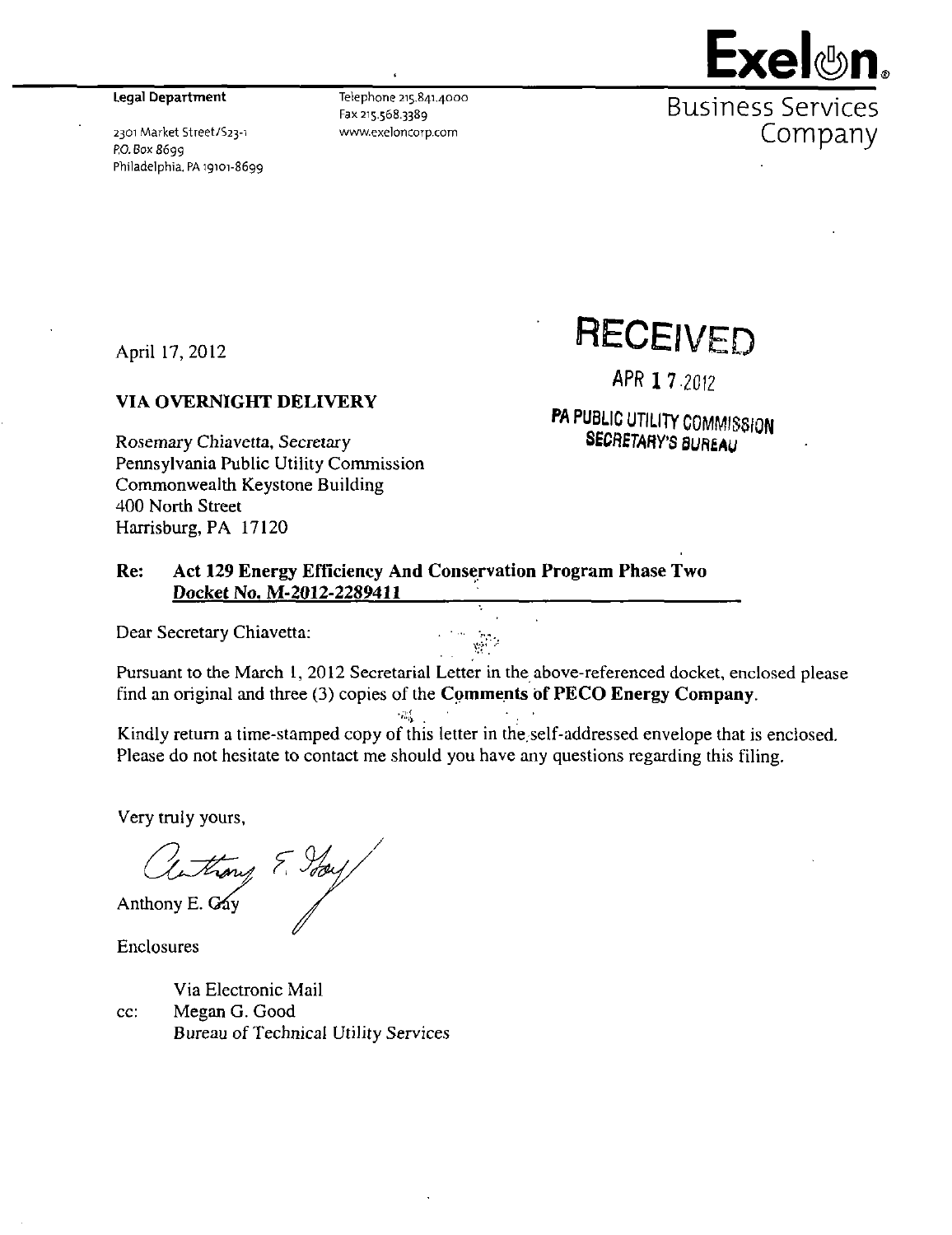#### Legal Department

2301 Market Street/S23-i RO. Box 8699 Philadelphia. PA 19101-8699

Telephone 215.841.4000 Fax 215.568.3389 www.exeloncorp.com



**Exel ®n,** 

April 17, 2012

#### **VIA OVERNIGHT DELIVERY**

Rosemary Chiavetta, Secretary Pennsylvania Public Utility Commission Commonwealth Keystone Building 400 North Street Harrisburg, PA 17120

**RECEIVED** 

APR 1 7 2012

PA PUBLIC UTILITY COMMISSION SECRETARY'S BUREAU

#### Re: Act 129 Energy Efficiency And Conservation Program Phase Two Docket No. M-2012-2289411

 $T_{\rm m}^{\rm 1.4}$ 

Dear Secretary Chiavetta:

**Pursuant to the March 1, 2012 Secretarial Letter in the above-referenced docket, enclosed please find an original and three (3) copies of the Comments bf PECO Energy Company.** 

Kindly return a time-stamped copy of this letter in the. self-addressed envelope that is enclosed. Please do not hesitate to contact me should you have any questions regarding this filing.

Very truly yours.

anthony E. Your

Enclosures

Via Electronic Mail cc: Megan G. Good Bureau of Technical Utility Services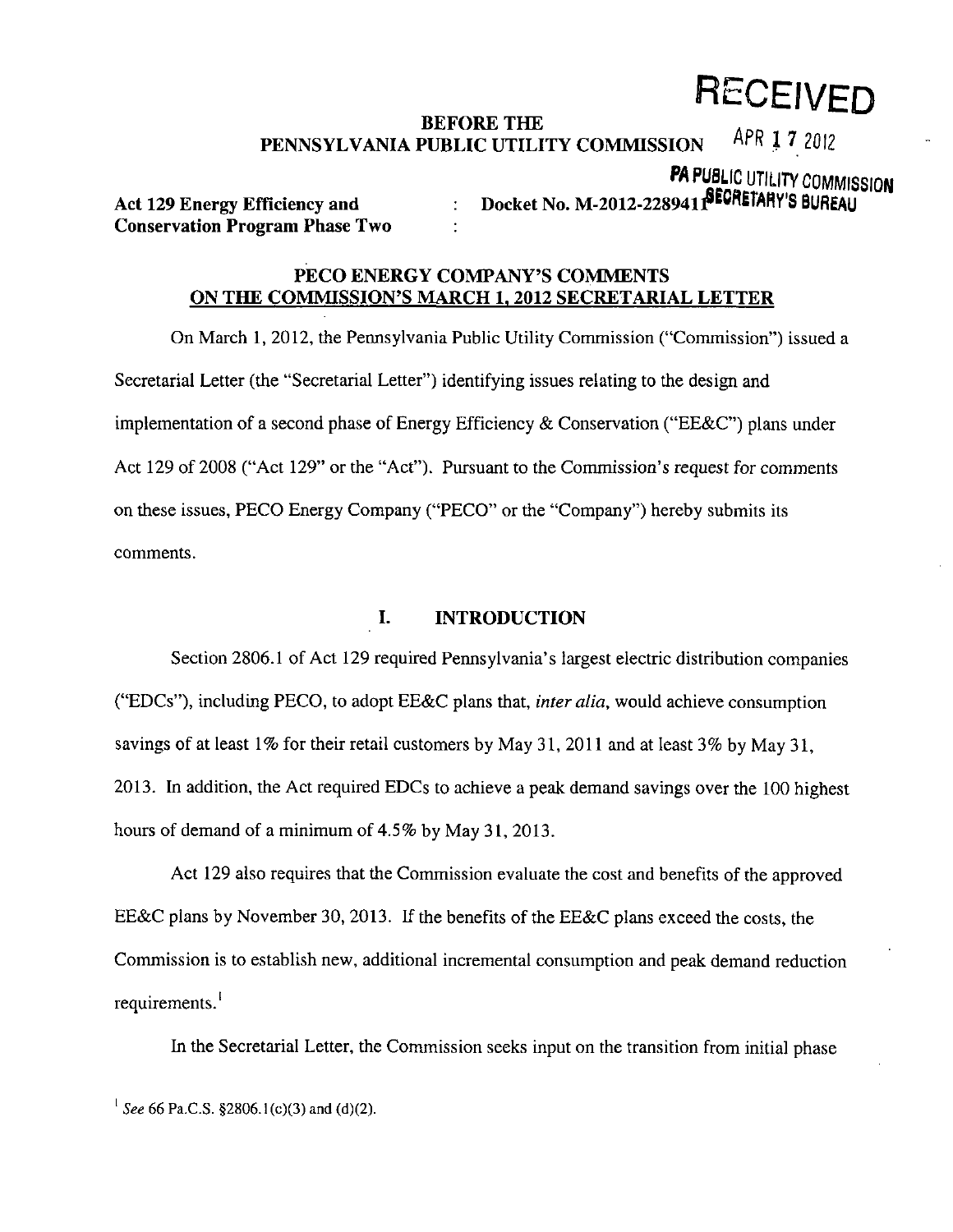# **RECEIVED**

#### **BEFORE THE**  PENNSYLVANIA PUBLIC UTILITY COMMISSION  $1 -$ uth  $\uparrow$  (5012

**PA PUBLIC UTILITY COMMISSION** 

**Conservation Program Phase Two** 

# Act 129 Energy Efficiency and **: Docket No. M-2012-228941 PECRETARY'S BUREAU**

# **PECO ENERGY COMPANY'S COMMENTS ON THE COMMISSION'S MARCH 1. 2012 SECRETARIAL LETTER**

On March 1, 2012, the Pennsylvania Public Utility Commission ("Commission") issued a Secretarial Letter (the "Secretarial Letter") identifying issues relating to the design and implementation of a second phase of Energy Efficiency & Conservation ("EE&C") plans under Act 129 of 2008 ("Act 129" or the "Act"). Pursuant to the Commission's request for comments on these issues, PECO Energy Company ("PECO" or the "Company") hereby submits its comments.

# **I. INTRODUCTION**

Section 2806.1 of Act 129 required Pennsylvania's largest electric distribution companies ("EDCs"), including PECO, to adopt EE&C plans that, *inter alia*, would achieve consumption savings of at least  $1\%$  for their retail customers by May 31, 2011 and at least 3% by May 31, 2013. In addition, the Act required EDCs to achieve a peak demand savings over the 100 highest hours of demand of a minimum of 4.5% by May 31, 2013.

Act 129 also requires that the Commission evaluate the cost and benefits of the approved EE&C plans by November 30, 2013. If the benefits of the EE&C plans exceed the costs, the Commission is to establish new, additional incremental consumption and peak demand reduction requirements.<sup>1</sup>

In the Secretarial Letter, the Commission seeks input on the transition from initial phase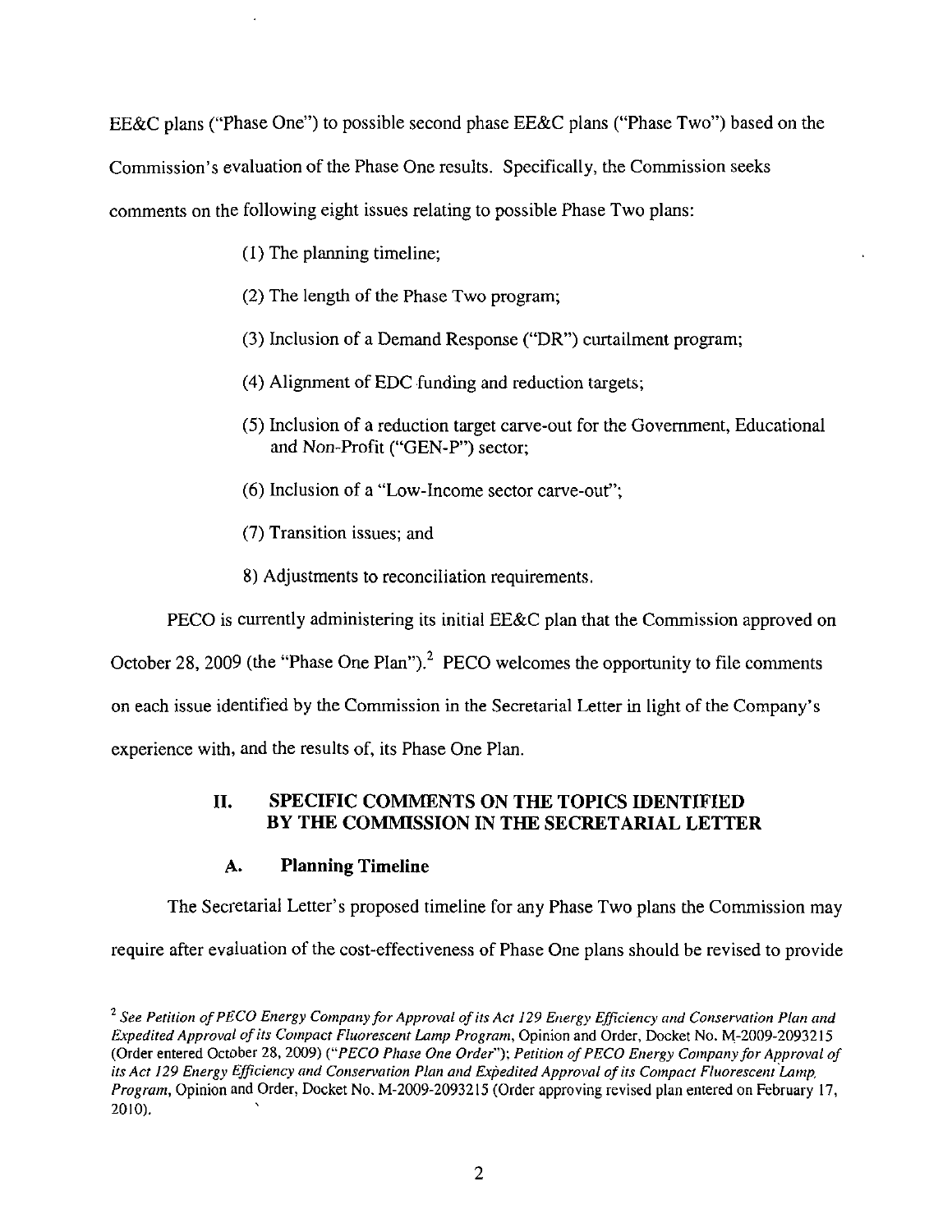EE&C plans ("Phase One") to possible second phase EE&C plans ("Phase Two") based on the

Commission's evaluation of the Phase One results. Specifically, the Commission seeks

comments on the following eight issues relating to possible Phase Two plans:

- (1) The planning timeline;
- (2) The length of the Phase Two program;
- (3) Inclusion of a Demand Response ("DR") curtailment program;
- (4) Alignment of EDC funding and reduction targets;
- (5) Inclusion of a reduction target carve-out for the Government, Educational and Non-Profit ("GEN-P") sector;
- (6) Inclusion of a "Low-Income sector carve-out";
- (7) Transition issues; and
- 8) Adjustments to reconciliation requirements.

PECO is currently administering its initial EE&C plan that the Commission approved on October 28, 2009 (the "Phase One Plan").<sup>2</sup> PECO welcomes the opportunity to file comments on each issue identified by the Commission in the Secretarial Letter in light of the Company's experience with, and the results of, its Phase One Plan.

# **II. SPECIFIC COMMENTS ON THE TOPICS IDENTIFIED BY THE COMMISSION IN THE SECRETARIAL LETTER**

# **A. Planning Timeline**

The Secretarial Letter's proposed timeline for any Phase Two plans the Commission may

require after evaluation of the cost-effectiveness of Phase One plans should be revised to provide

<sup>&</sup>lt;sup>2</sup> See Petition of PECO Energy Company for Approval of its Act 129 Energy Efficiency and Conservation Plan and Expedited Approval of its Compact Fluorescent Lamp Program, Opinion and Order, Docket No. M-2009-2093215 (Order entered October 28, 2009) ("PECO Phase One Order"); Petition of PECO Energy Company for Approval of its Act 129 Energy Efficiency and Conservation Plan and Expedited Approval of its Compact Fluorescent Lamp, Program, Opinion and Order, Docket No. M-2009-2093215 (Order approving revised plan entered on February 17, 2010).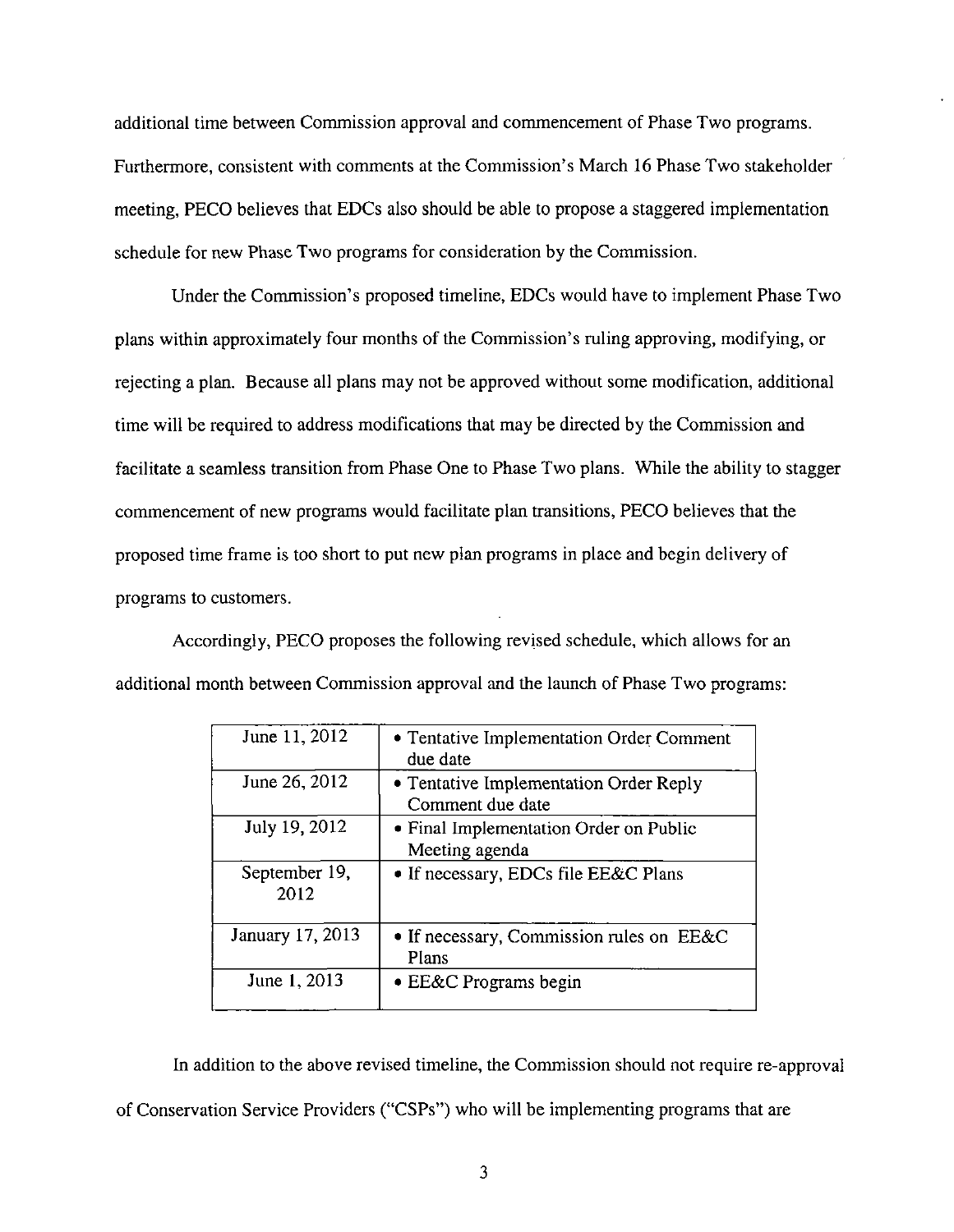additional time between Commission approval and commencement of Phase Two programs. Furthermore, consistent with comments at the Commission's March 16 Phase Two stakeholder meeting, PECO believes that EDCs also should be able to propose a staggered implementation schedule for new Phase Two programs for consideration by the Commission.

Under the Commission's proposed timeline, EDCs would have to implement Phase Two plans within approximately four months of the Commission's ruling approving, modifying, or rejecting a plan. Because all plans may not be approved without some modification, additional time will be required to address modifications that may be directed by the Commission and facilitate a seamless transition from Phase One to Phase Two plans. While the ability to stagger commencement of new programs would facilitate plan transitions, PECO believes that the proposed time frame is too short to put new plan programs in place and begin delivery of programs to customers.

Accordingly, PECO proposes the following revised schedule, which allows for an additional month between Commission approval and the launch of Phase Two programs:

| June 11, 2012         | • Tentative Implementation Order Comment<br>due date       |
|-----------------------|------------------------------------------------------------|
| June 26, 2012         | • Tentative Implementation Order Reply<br>Comment due date |
| July 19, 2012         | • Final Implementation Order on Public<br>Meeting agenda   |
| September 19,<br>2012 | • If necessary, EDCs file EE&C Plans                       |
| January 17, 2013      | • If necessary, Commission rules on EE&C<br>Plans          |
| June 1, 2013          | • EE&C Programs begin                                      |

In addition to the above revised timeline, the Commission should not require re-approval of Conservation Service Providers ("CSPs") who will be implementing programs that are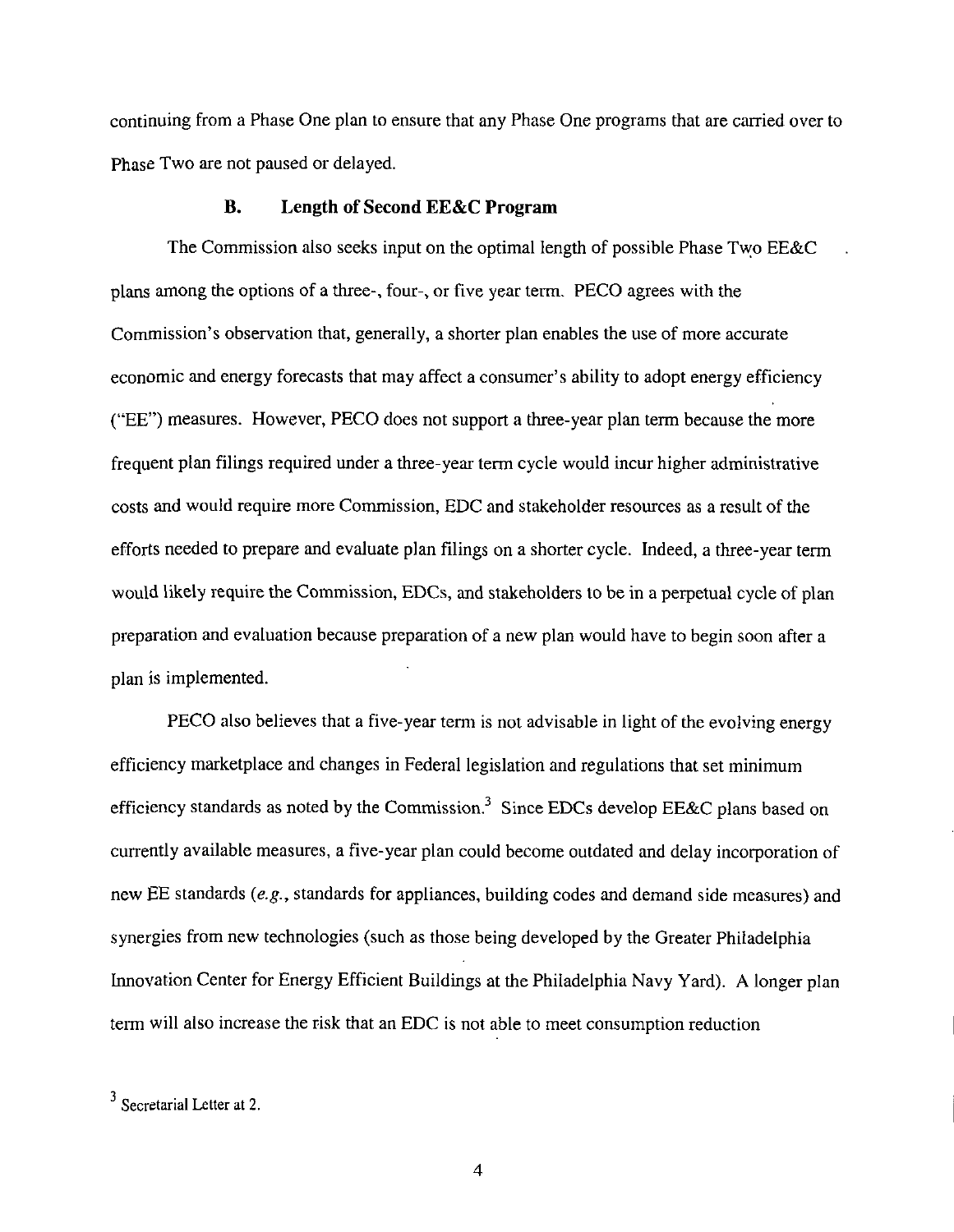continuing from a Phase One plan to ensure that any Phase One programs that are carried over to Phase Two are not paused or delayed.

#### B. Length of Second EE&C Program

The Commission also seeks input on the optimal length of possible Phase Two EE&C plans among the options of a three-, four-, or five year term. PECO agrees with the Commission's observation that, generally, a shorter plan enables the use of more accurate economic and energy forecasts that may affect a consumer's ability to adopt energy efficiency ("EE") measures. However, PECO does not support a three-year plan term because the more frequent plan filings required under a three-year term cycle would incur higher administrative costs and would require more Commission, EDC and stakeholder resources as a result of the efforts needed to prepare and evaluate plan filings on a shorter cycle. Indeed, a three-year term would likely require the Commission, EDCs, and stakeholders to be in a perpetual cycle of plan preparation and evaluation because preparation of a new plan would have to begin soon after a plan is implemented.

PECO also believes that a five-year term is not advisable in light of the evolving energy efficiency marketplace and changes in Federal legislation and regulations that set minimum efficiency standards as noted by the Commission.<sup>3</sup> Since EDCs develop EE&C plans based on currently available measures, a five-year plan could become outdated and delay incorporation of new EE standards {e.g., standards for appliances, building codes and demand side measures) and synergies from new technologies (such as those being developed by the Greater Philadelphia Innovation Center for Energy Efficient Buildings at the Philadelphia Navy Yard). A longer plan term will also increase the risk that an EDC is not able to meet consumption reduction

<sup>&</sup>lt;sup>5</sup> Secretarial Letter at 2.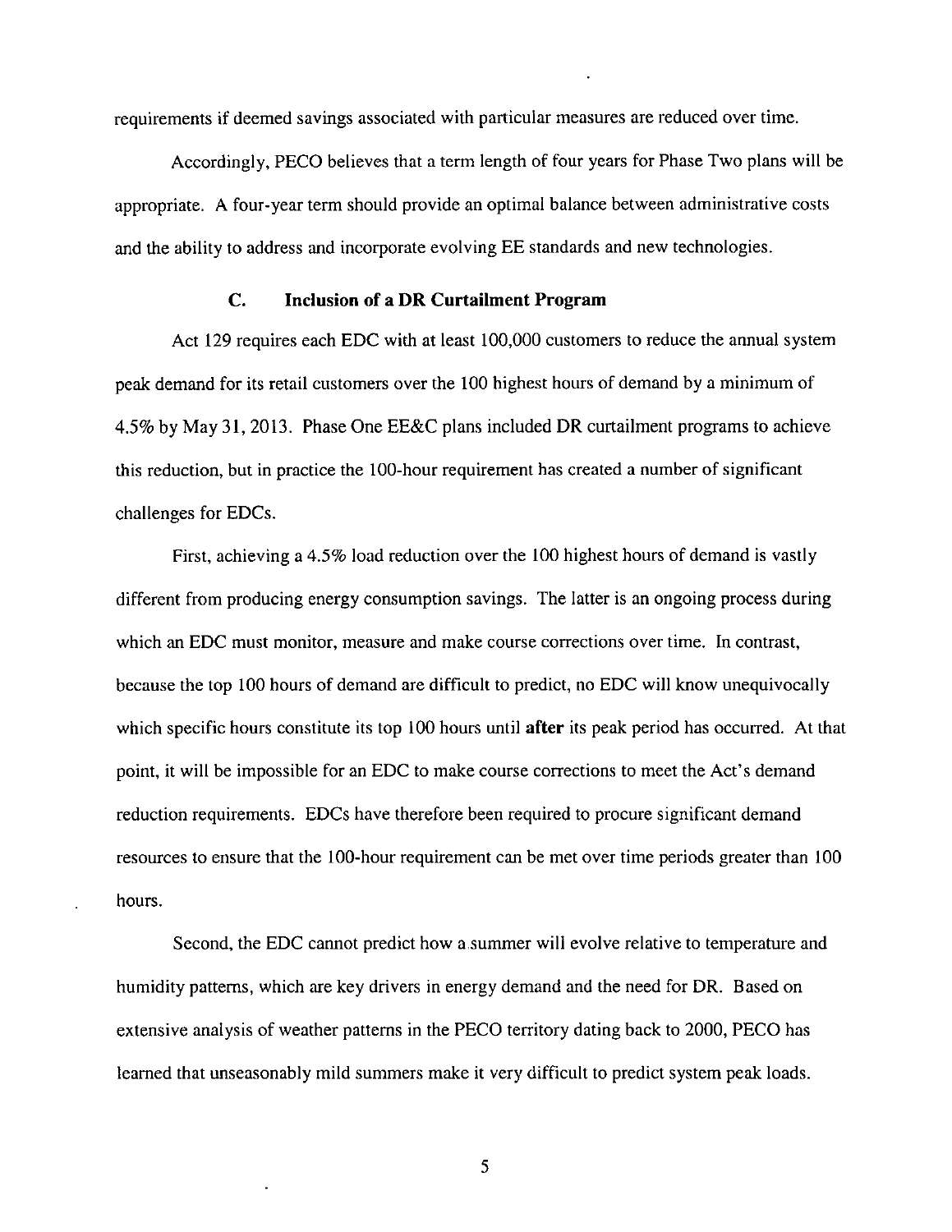requirements if deemed savings associated with particular measures are reduced over time.

Accordingly, PECO believes that a term length of four years for Phase Two plans will be appropriate. A four-year term should provide an optimal balance between administrative costs and the ability to address and incorporate evolving EE standards and new technologies.

#### **C. Inclusion of a DR Curtailment Program**

Act 129 requires each EDC with at least 100,000 customers to reduce the annual system peak demand for its retail customers over the 100 highest hours of demand by a minimum of 4.5% by May 31, 2013. Phase One EE&C plans included DR curtailment programs to achieve this reduction, but in practice the 100-hour requirement has created a number of significant challenges for EDCs.

First, achieving a 4.5% load reduction over the 100 highest hours of demand is vastly different from producing energy consumption savings. The latter is an ongoing process during which an EDC must monitor, measure and make course corrections over time. In contrast, because the top 100 hours of demand are difficult to predict, no EDC will know unequivocally which specific hours constitute its top 100 hours until **after** its peak period has occurred. At that point, it will be impossible for an EDC to make course corrections to meet the Act's demand reduction requirements. EDCs have therefore been required to procure significant demand resources to ensure that the 100-hour requirement can be met over time periods greater than 100 hours.

Second, the EDC cannot predict how a.summer will evolve relative to temperature and humidity patterns, which are key drivers in energy demand and the need for DR. Based on extensive analysis of weather patterns in the PECO territory dating back to 2000, PECO has learned that unseasonably mild summers make it very difficult to predict system peak loads.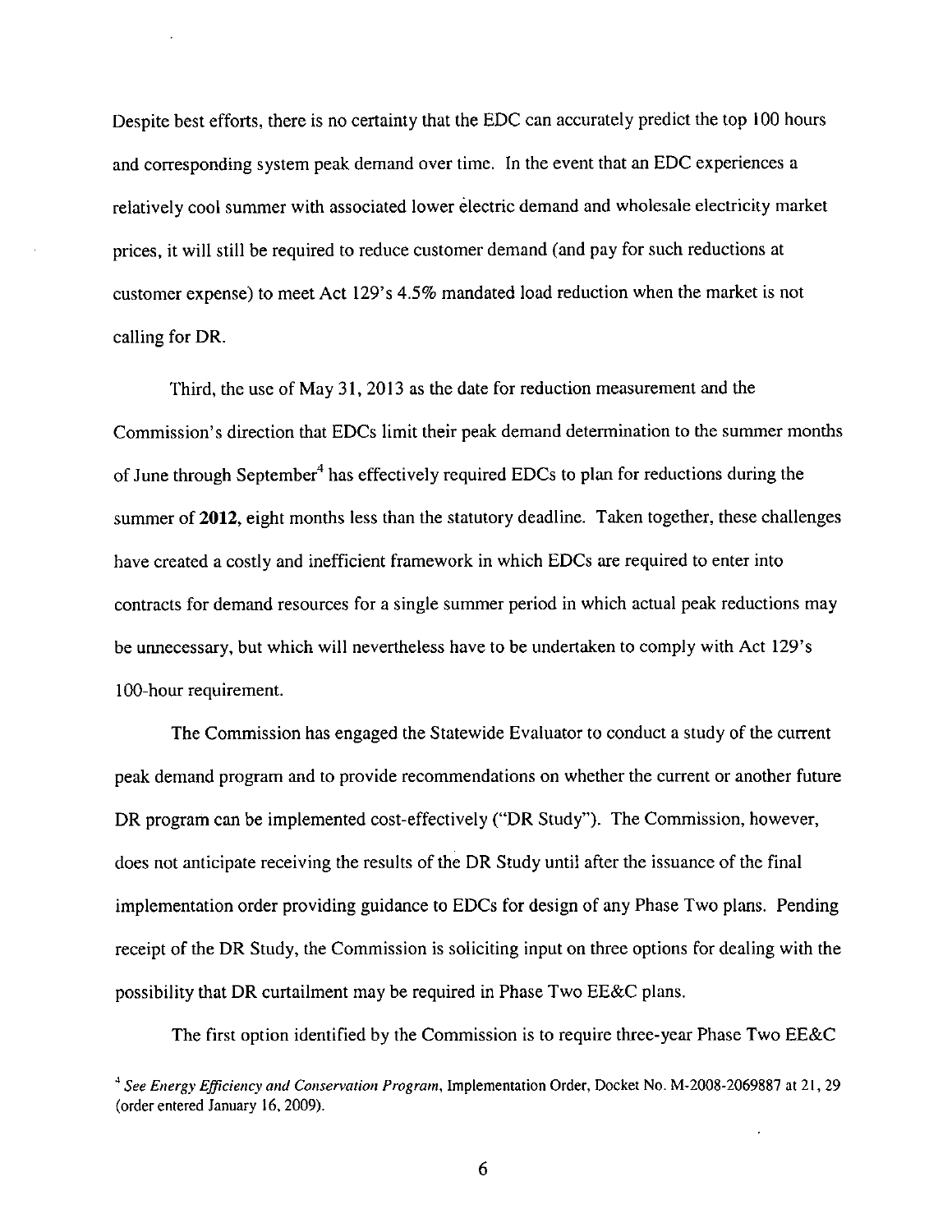Despite best efforts, there is no certainty that the EDC can accurately predict the top 100 hours and corresponding system peak demand over time. In the event that an EDC experiences a relatively cool summer with associated lower electric demand and wholesale electricity market prices, it will still be required to reduce customer demand (and pay for such reductions at customer expense) to meet Act I29's 4.5% mandated load reduction when the market is not calling for DR.

Third, the use of May 31, 2013 as the date for reduction measurement and the Commission's direction that EDCs limit their peak demand determination to the summer months of June through September<sup>4</sup> has effectively required EDCs to plan for reductions during the summer of 2012, eight months less than the statutory deadline. Taken together, these challenges have created a costly and inefficient framework in which EDCs are required to enter into contracts for demand resources for a single summer period in which actual peak reductions may be unnecessary, but which will nevertheless have to be undertaken to comply with Act 129's 100-hour requirement.

The Commission has engaged the Statewide Evaluator to conduct a study of the current peak demand program and to provide recommendations on whether the current or another future DR program can be implemented cost-effectively ("DR Study"). The Commission, however, does not anticipate receiving the results of the DR Study until after the issuance of the final implementation order providing guidance to EDCs for design of any Phase Two plans. Pending receipt of the DR Study, the Commission is soliciting input on three options for dealing with the possibility that DR curtailment may be required in Phase Two EE&C plans.

The first option identified by the Commission is to require three-year Phase Two EE&C

<sup>&</sup>lt;sup>4</sup> See Energy Efficiency and Conservation Program, Implementation Order, Docket No. M-2008-2069887 at 21, 29 (order entered January 16, 2009).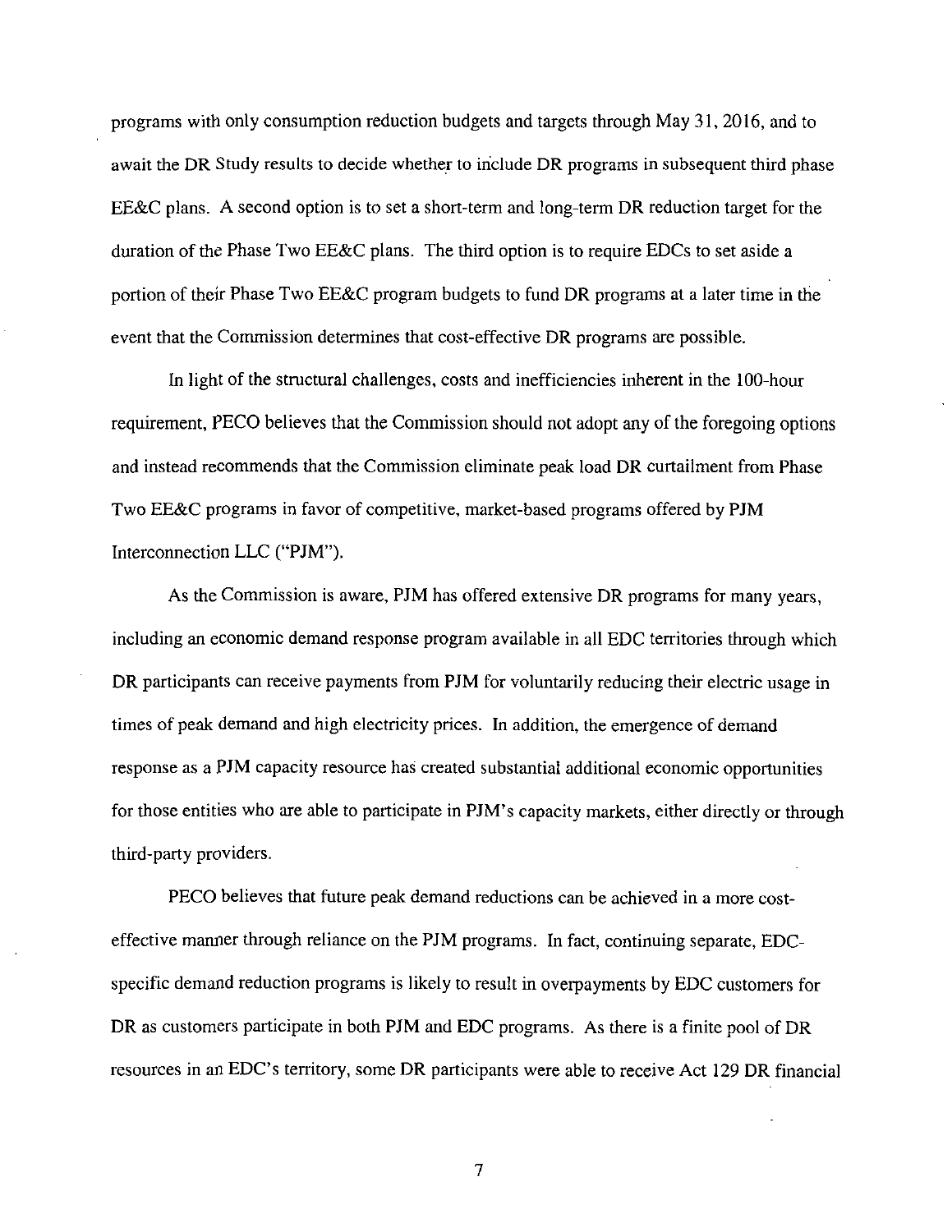programs with only consumption reduction budgets and targets through May 31, 2016, and to await the DR Study results to decide whether to include DR programs in subsequent third phase EE&C plans. A second option is to set a short-term and long-term DR reduction target for the duration of the Phase Two EE&C plans. The third option is to require EDCs to set aside a portion of their Phase Two EE&C program budgets to fund DR programs at a later time in the event that the Commission determines that cost-effective DR programs are possible.

In light of the structural challenges, costs and inefficiencies inherent in the 100-hour requirement, PECO believes that the Commission should not adopt any of the foregoing options and instead recommends that the Commission eliminate peak load DR curtailment from Phase Two EE&C programs in favor of competitive, market-based programs offered by PJM Interconnection LLC ("PJM").

As the Commission is aware, PJM has offered extensive DR programs for many years, including an economic demand response program available in all EDC territories through which DR participants can receive payments from PJM for voluntarily reducing their electric usage in times of peak demand and high electricity prices. In addition, the emergence of demand response as a PJM capacity resource has created substantial additional economic opportunities for those entities who are able to participate in PJM's capacity markets, either directly or through third-party providers.

PECO believes that future peak demand reductions can be achieved in a more costeffective manner through reliance on the PJM programs. In fact, continuing separate, EDCspecific demand reduction programs is likely to result in overpayments by EDC customers for DR as customers participate in both PJM and EDC programs. As there is a finite pool of DR resources in an EDC's territory, some DR participants were able to receive Act 129 DR financial

 $\overline{7}$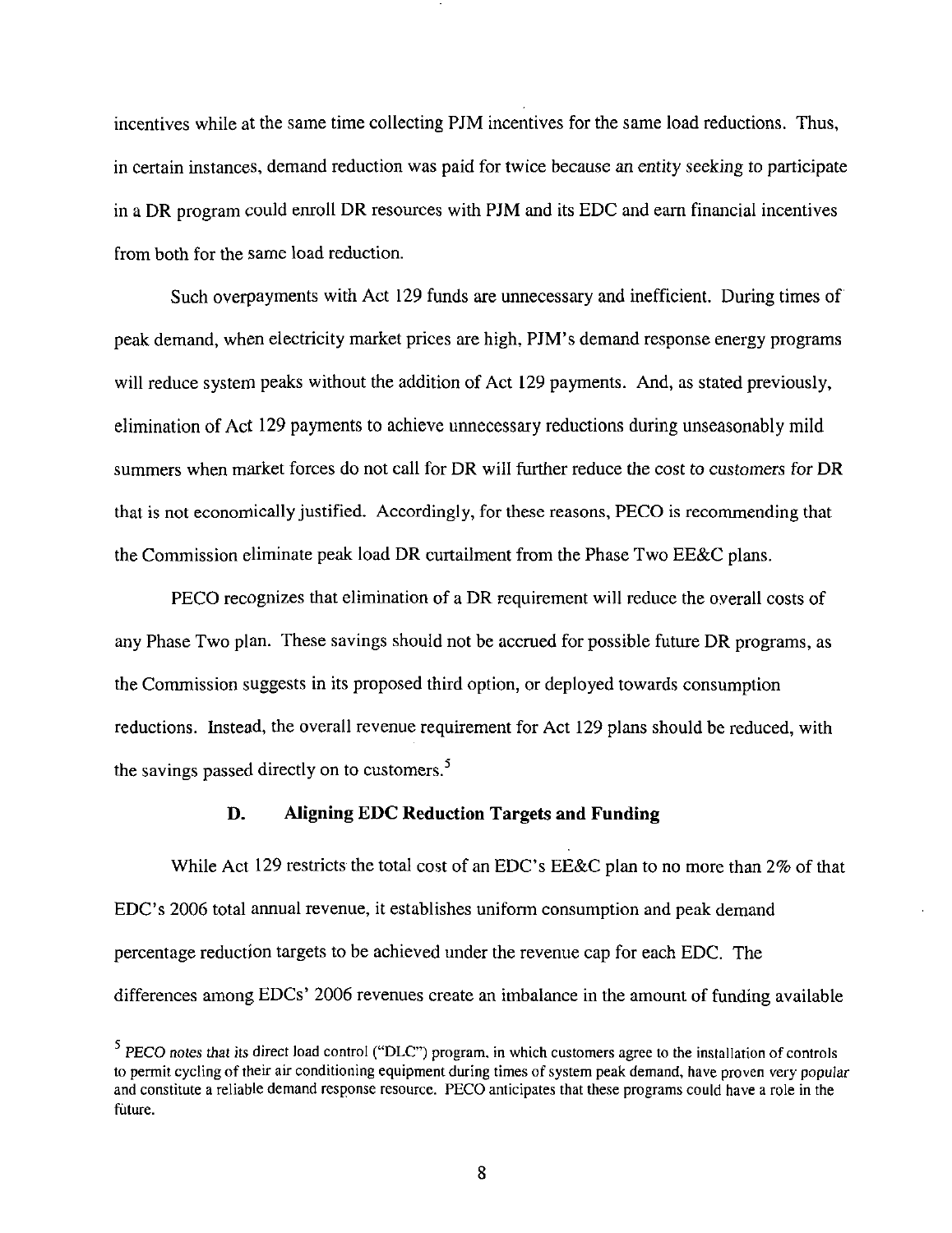incentives while at the same time collecting PJM incentives for the same load reductions. Thus, in certain instances, demand reduction was paid for twice because an entity seeking to participate in a DR program could enroll DR resources with PJM and its EDC and earn financial incentives from both for the same load reduction.

Such overpayments with Act 129 funds are unnecessary and inefficient. During times of peak demand, when electricity market prices are high, PJM's demand response energy programs will reduce system peaks without the addition of Act 129 payments. And, as stated previously, elimination of Act 129 payments to achieve unnecessary reductions during unseasonably mild summers when market forces do not call for DR will further reduce the cost to customers for DR that is not economically justified. Accordingly, for these reasons, PECO is recommending that the Commission eliminate peak load DR curtailment from the Phase Two EE&C plans.

PECO recognizes that elimination of a DR requirement will reduce the overall costs of any Phase Two plan. These savings should not be accrued for possible future DR programs, as the Commission suggests in its proposed third option, or deployed towards consumption reductions. Instead, the overall revenue requirement for Act 129 plans should be reduced, with the savings passed directly on to customers.<sup>5</sup>

# **D. Aligning EDC Reduction Targets and Funding**

While Act 129 restricts the total cost of an EDC's EE&C plan to no more than 2% of that EDC's 2006 total annual revenue, it establishes uniform consumption and peak demand percentage reduction targets to be achieved under the revenue cap for each EDC. The differences among EDCs' 2006 revenues create an imbalance in the amount of funding available

<sup>&</sup>lt;sup>5</sup> PECO notes that its direct load control ("DLC") program, in which customers agree to the installation of controls to permit cycling of their air conditioning equipment during times of system peak demand, have proven very popular and constitute a reliable demand response resource. PECO anticipates that these programs could have a role in the future.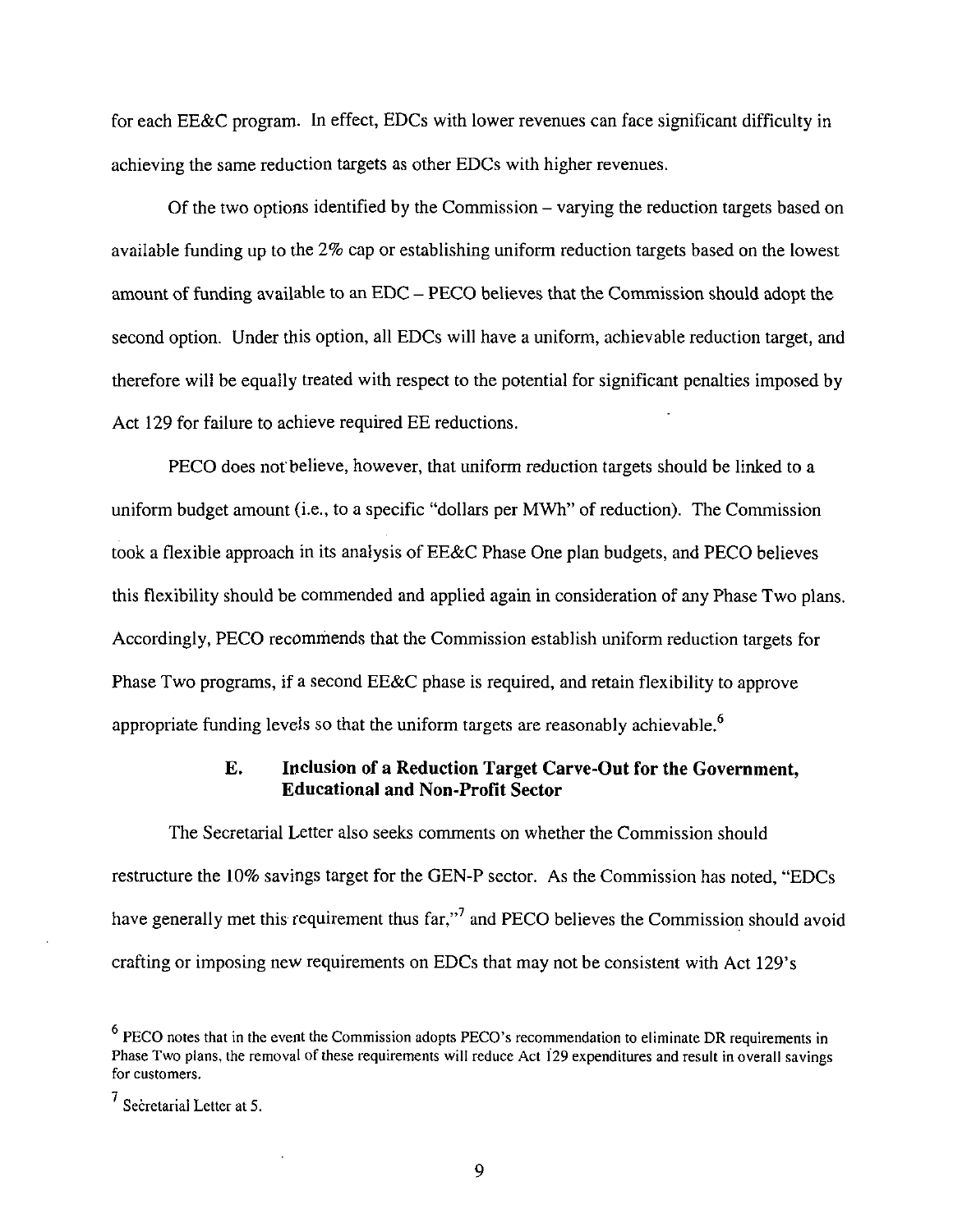for each EE&C program. In effect, EDCs with lower revenues can face significant difficulty in achieving the same reduction targets as other EDCs with higher revenues.

Of the two options identified by the Commission – varying the reduction targets based on available funding up to the 2% cap or establishing uniform reduction targets based on the lowest amount of funding available to an EDC - PECO believes that the Commission should adopt the second option. Under this option, all EDCs will have a uniform, achievable reduction target, and therefore will be equally treated with respect to the potential for significant penalties imposed by Act 129 for failure to achieve required EE reductions.

PECO does not'believe, however, that uniform reduction targets should be linked to a uniform budget amount (i.e., to a specific "dollars per MWh" of reduction). The Commission took a flexible approach in its analysis of EE&C Phase One plan budgets, and PECO believes this flexibility should be commended and applied again in consideration of any Phase Two plans. Accordingly, PECO recommends that the Commission establish uniform reduction targets for Phase Two programs, if a second EE&C phase is required, and retain flexibility to approve appropriate funding levels so that the uniform targets are reasonably achievable.<sup>6</sup>

## **E. Inclusion of a Reduction Target Carve-Out for the Government, Educational and Non-Profit Sector**

The Secretarial Letter also seeks comments on whether the Commission should restructure the 10% savings target for the GEN-P sector. As the Commission has noted, "EDCs have generally met this requirement thus far,"<sup>7</sup> and PECO believes the Commission should avoid crafting or imposing new requirements on EDCs that may not be consistent with Act 129's

 $<sup>6</sup>$  PECO notes that in the event the Commission adopts PECO's recommendation to eliminate DR requirements in</sup> Phase Two plans, the removal of these requirements will reduce Act 129 expenditures and result in overall savings for customers.

<sup>7</sup> Secretarial Letter at 5.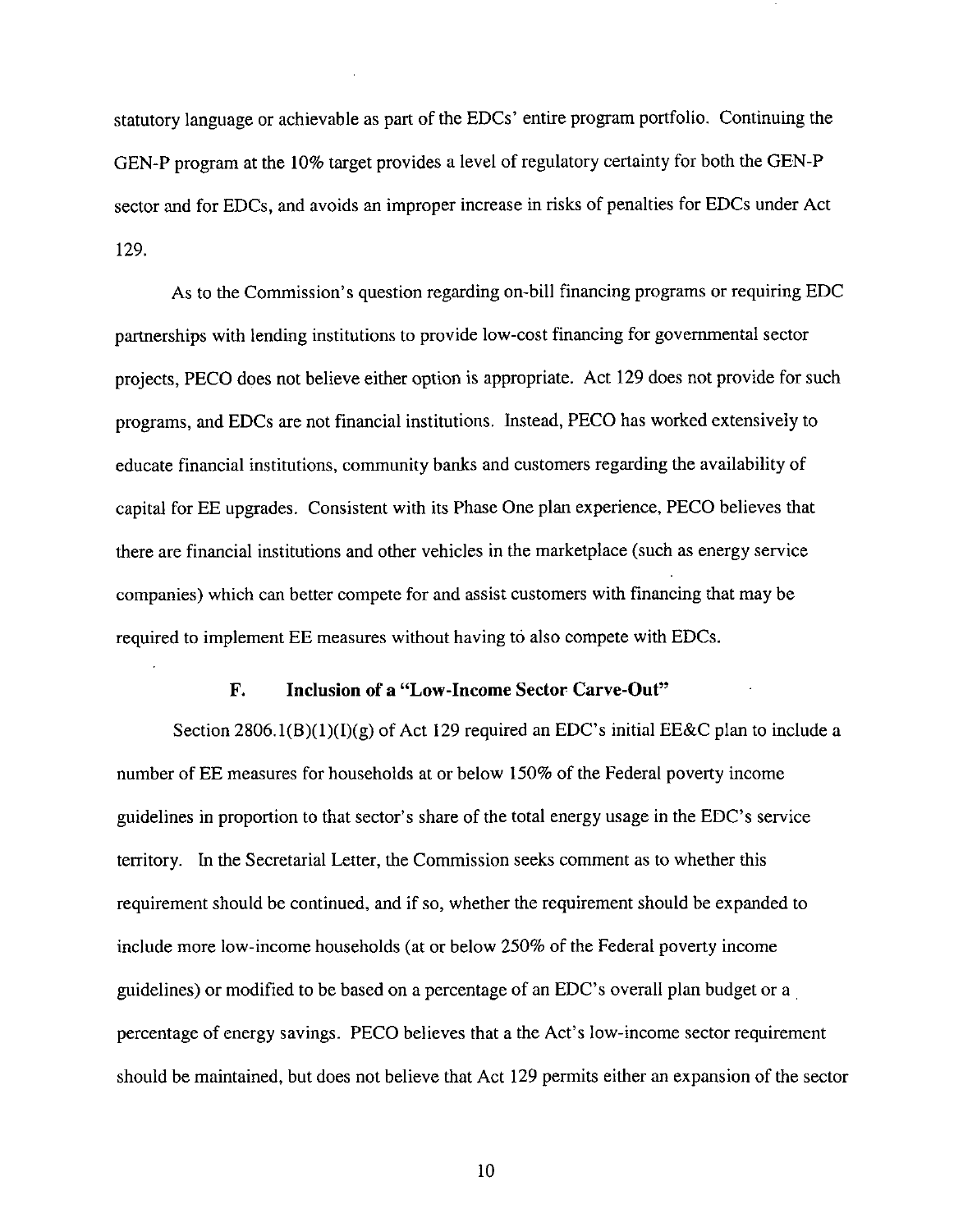statutory language or achievable as part of the EDCs' entire program portfolio. Continuing the GEN-P program at the 10% target provides a level of regulatory certainty for both the GEN-P sector and for EDCs, and avoids an improper increase in risks of penalties for EDCs under Act 129.

As to the Commission's question regarding on-bill financing programs or requiring EDC partnerships with lending institutions to provide low-cost financing for governmental sector projects, PECO does not believe either option is appropriate. Act 129 does not provide for such programs, and EDCs are not financial institutions. Instead, PECO has worked extensively to educate financial institutions, community banks and customers regarding the availability of capital for EE upgrades. Consistent with its Phase One plan experience, PECO believes that there are financial institutions and other vehicles in the marketplace (such as energy service companies) which can better compete for and assist customers with financing that may be required to implement EE measures without having to also compete with EDCs.

#### **F. Inclusion of a "Low-Income Sector Carve-Out"**

Section 2806.1(B)(1)(I)(g) of Act 129 required an EDC's initial EE&C plan to include a number of EE measures for households at or below 150% of the Federal poverty income guidelines in proportion to that sector's share of the total energy usage in the EDC's service territory. In the Secretarial Letter, the Commission seeks comment as to whether this requirement should be continued, and if so, whether the requirement should be expanded to include more low-income households (at or below 250% of the Federal poverty income guidelines) or modified to be based on a percentage of an EDC's overall plan budget or a percentage of energy savings. PECO believes that a the Act's low-income sector requirement should be maintained, but does not believe that Act 129 permits either an expansion of the sector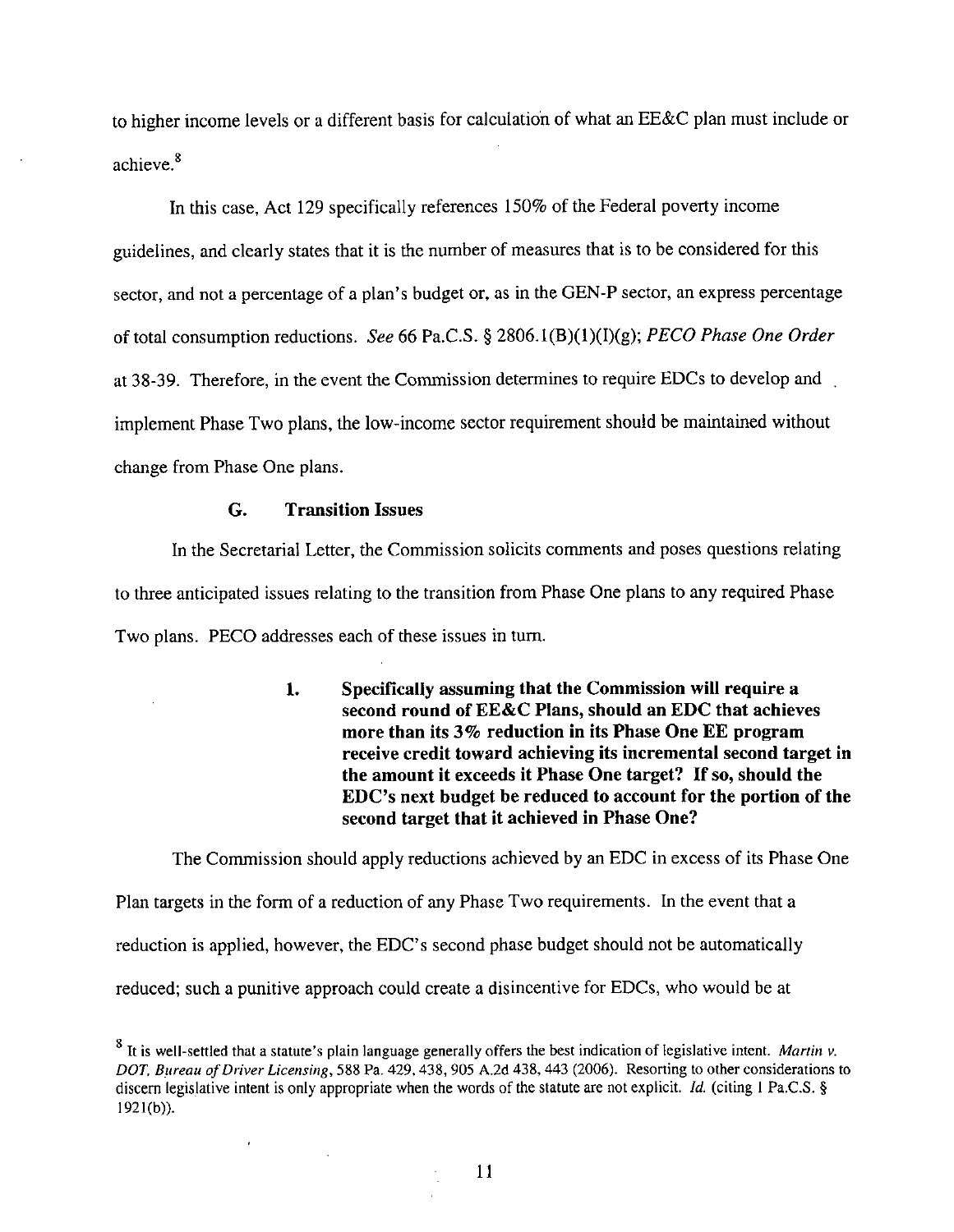to higher income levels or a different basis for calculation of what an EE&C plan must include or achieve.<sup>8</sup>

In this case, Act 129 specifically references 150% of the Federal poverty income guidelines, and clearly states that it is the number of measures that is to be considered for this sector, and not a percentage of a plan's budget or, as in the GEN-P sector, an express percentage of total consumption reductions. See 66 Pa.C.S. § 2806.1(B)(1)(I)(g); PECO Phase One Order at 38-39. Therefore, in the event the Commission determines to require EDCs to develop and . implement Phase Two plans, the low-income sector requirement should be maintained without change from Phase One plans.

#### **G. Transition Issues**

In the Secretarial Letter, the Commission solicits comments and poses questions relating to three anticipated issues relating to the transition from Phase One plans to any required Phase Two plans. PECO addresses each of these issues in turn.

> **1. Specifically assuming that the Commission will require a second round of EE&C Plans, should an EDC that achieves more than its 3% reduction in its Phase One EE program receive credit toward achieving its incremental second target in the amount it exceeds it Phase One target? If so, should the**  EDC's next budget be reduced to account for the portion of the **second target that it achieved in Phase One?**

The Commission should apply reductions achieved by an EDC in excess of its Phase One Plan targets in the form of a reduction of any Phase Two requirements. In the event that a reduction is applied, however, the EDC's second phase budget should not be automatically reduced; such a punitive approach could create a disincentive for EDCs, who would be at

 $8$  It is well-settled that a statute's plain language generally offers the best indication of legislative intent. Martin v. DOT, Bureau of Driver Licensing, 588 Pa. 429, 438, 905 A.2d 438, 443 (2006). Resorting to other considerations to discern legislative intent is only appropriate when the words of the statute are not explicit. Id. (citing 1 Pa.C.S. § 1921(b)).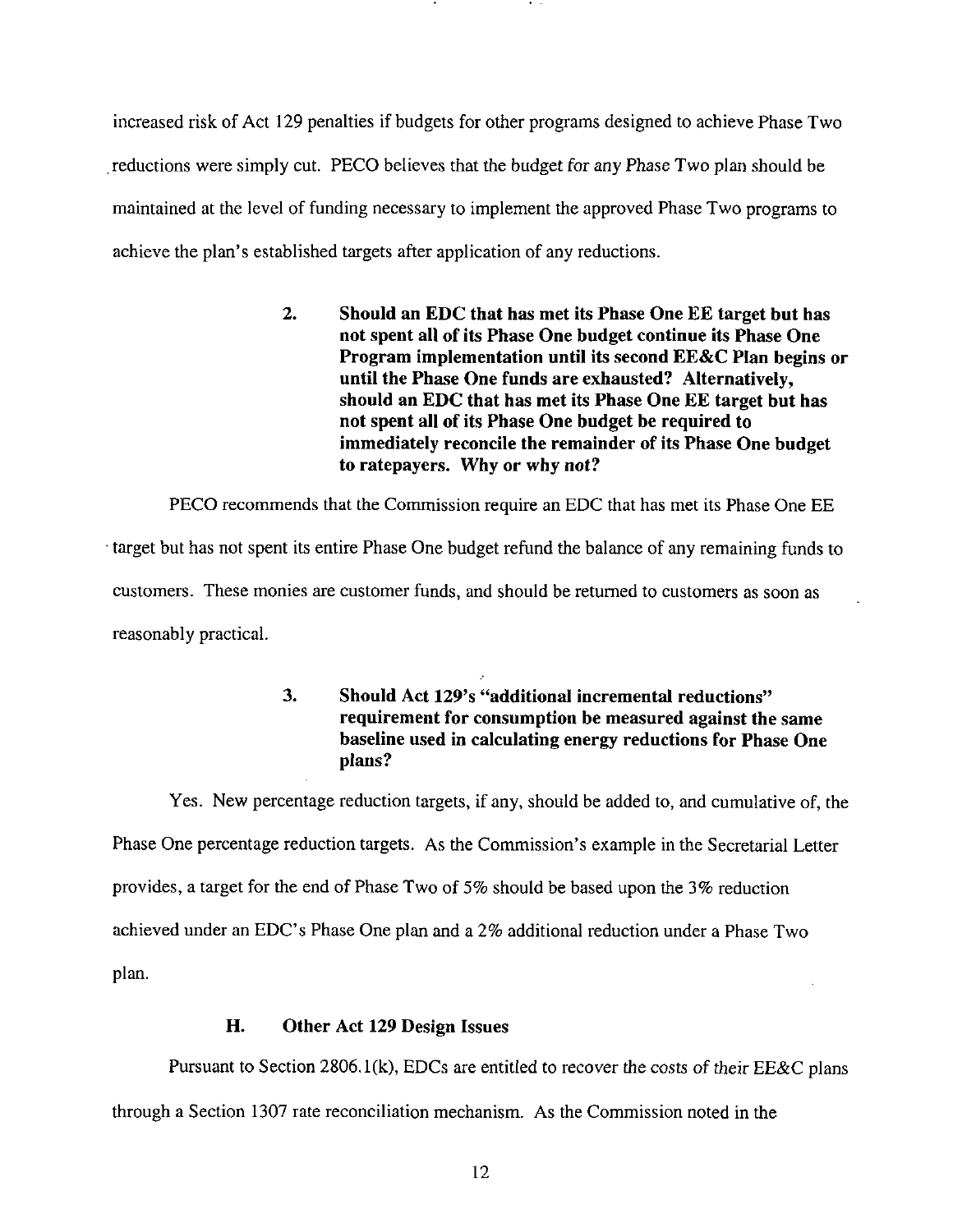increased risk of Act 129 penalties if budgets for other programs designed to achieve Phase Two reductions were simply cut. PECO believes that the budget for any Phase Two plan should be maintained at the level of funding necessary to implement the approved Phase Two programs to achieve the plan's established targets after application of any reductions.

> **2. Should an EDC that has met its Phase One EE target but has not spent all of its Phase One budget continue its Phase One Program implementation until its second EE&C Plan begins or until the Phase One funds are exhausted? Alternatively, should an EDC that has met its Phase One EE target but has not spent all of its Phase One budget be required to immediately reconcile the remainder of its Phase One budget to ratepayers. Why or why not?**

PECO recommends that the Commission require an EDC that has met its Phase One EE target but has not spent its entire Phase One budget refund the balance of any remaining funds to customers. These monies are customer funds, and should be returned to customers as soon as reasonably practical.

> **3. Should Act 129's "additional incremental reductions" requirement for consumption be measured against the same baseline used in calculating energy reductions for Phase One plans?**

Yes. New percentage reduction targets, if any, should be added to, and cumulative of, the Phase One percentage reduction targets. As the Commission's example in the Secretarial Letter provides, a target for the end of Phase Two of 5% should be based upon the 3% reduction achieved under an EDC's Phase One plan and a 2% additional reduction under a Phase Two plan.

# **H. Other Act 129 Design Issues**

Pursuant to Section 2806. l(k), EDCs are entitled to recover the costs of their EE&C plans

through a Section 1307 rate reconciliation mechanism. As the Commission noted in the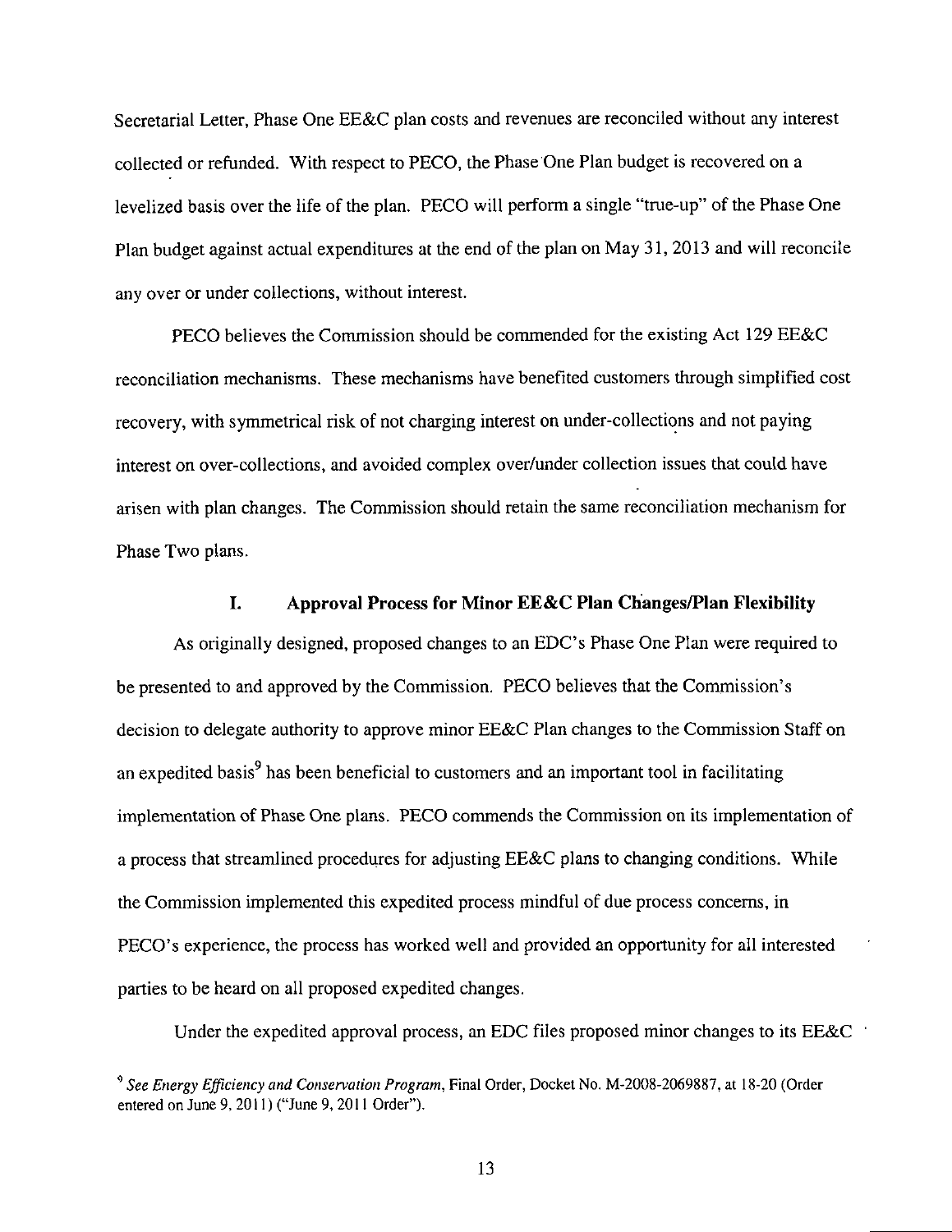Secretarial Letter, Phase One EE&C plan costs and revenues are reconciled without any interest collected or refunded. With respect to PECO, the Phase One Plan budget is recovered on a levelized basis over the life of the plan. PECO will perform a single "true-up" of the Phase One Plan budget against actual expenditures at the end of the plan on May 31, 2013 and will reconcile any over or under collections, without interest.

PECO believes the Commission should be commended for the existing Act 129 EE&C reconciliation mechanisms. These mechanisms have benefited customers through simplified cost recovery, with symmetrical risk of not charging interest on under-collections and not paying interest on over-collections, and avoided complex over/under collection issues that could have arisen with plan changes. The Commission should retain the same reconciliation mechanism for Phase Two plans.

# **1. Approval Process for Minor EE&C Plan Changes/Plan Flexibility**

As originally designed, proposed changes to an EDC's Phase One Plan were required to be presented to and approved by the Commission. PECO believes that the Commission's decision to delegate authority to approve minor EE&C Plan changes to the Commission Staff on an expedited basis<sup>9</sup> has been beneficial to customers and an important tool in facilitating implementation of Phase One plans. PECO commends the Commission on its implementation of a process that streamlined procedures for adjusting EE&C plans to changing conditions. While the Commission implemented this expedited process mindful of due process concerns, in PECO's experience, the process has worked well and provided an opportunity for all interested parties to be heard on all proposed expedited changes.

Under the expedited approval process, an EDC files proposed minor changes to its EE&C

 $^9$  See Energy Efficiency and Conservation Program, Final Order, Docket No. M-2008-2069887, at 18-20 (Order entered on June 9, 2011) ("June 9, 2011 Order").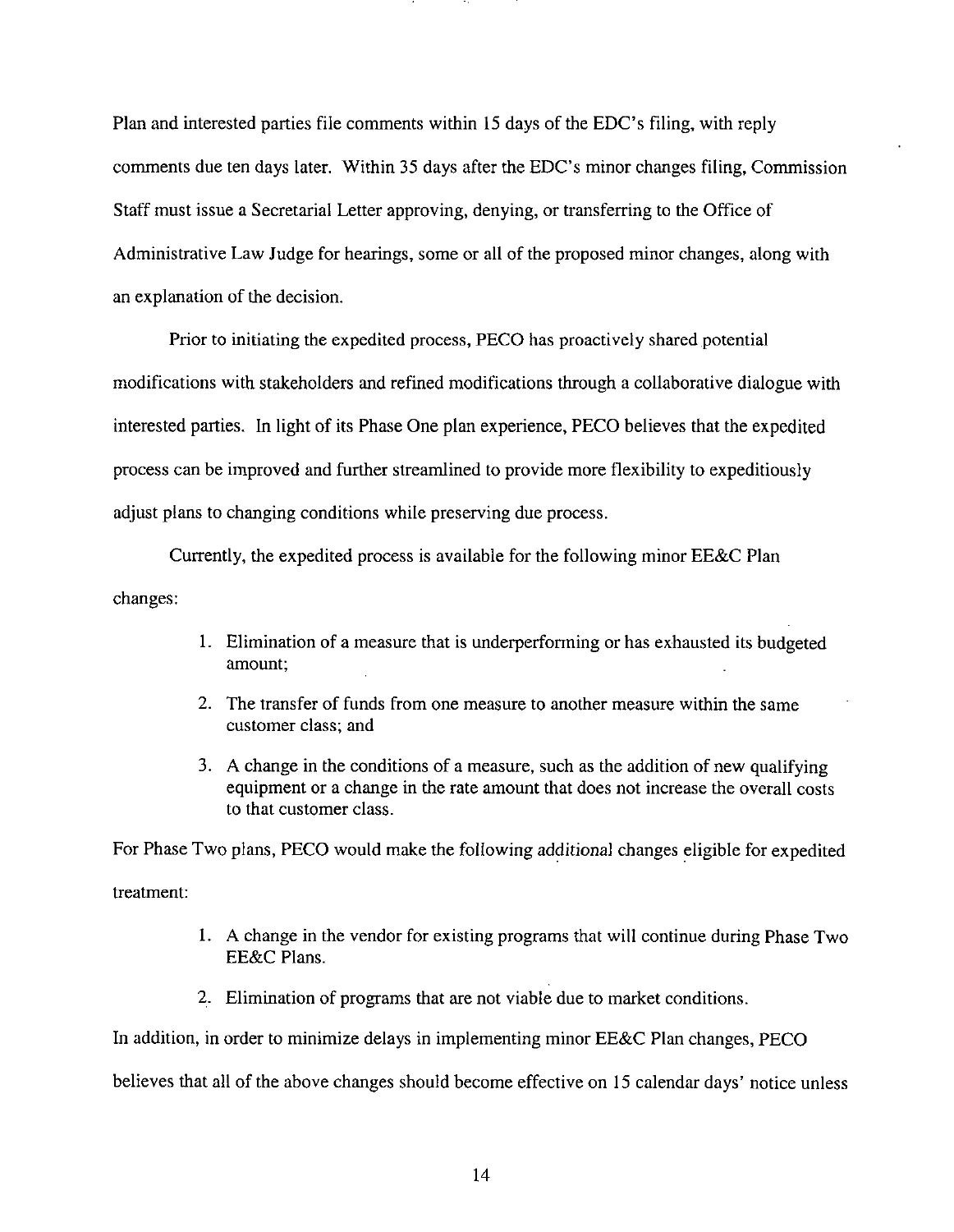Plan and interested parties file comments within 15 days of the EDC's filing, with reply comments due ten days later. Within 35 days after the EDC's minor changes filing, Commission Staff must issue a Secretarial Letter approving, denying, or transferring to the Office of Administrative Law Judge for hearings, some or all of the proposed minor changes, along with an explanation of the decision.

Prior to initiating the expedited process, PECO has proactively shared potential modifications with stakeholders and refined modifications through a collaborative dialogue with interested parties. In light of its Phase One plan experience, PECO believes that the expedited process can be improved and further streamlined to provide more flexibility to expeditiously adjust plans to changing conditions while preserving due process.

Currently, the expedited process is available for the following minor EE&C Plan changes:

- 1. Elimination of a measure that is underperforming or has exhausted its budgeted amount;
- 2. The transfer of funds from one measure to another measure within the same customer class; and
- 3. A change in the conditions of a measure, such as the addition of new qualifying equipment or a change in the rate amount that does not increase the overall costs to that customer class.

For Phase Two plans, PECO would make the following additional changes eligible for expedited

treatment:

- 1. A change in the vendor for existing programs that will continue during Phase Two EE&C Plans.
- 2. Elimination of programs that are not viable due to market conditions.

In addition, in order to minimize delays in implementing minor EE&C Plan changes, PECO

believes that all of the above changes should become effective on 15 calendar days' notice unless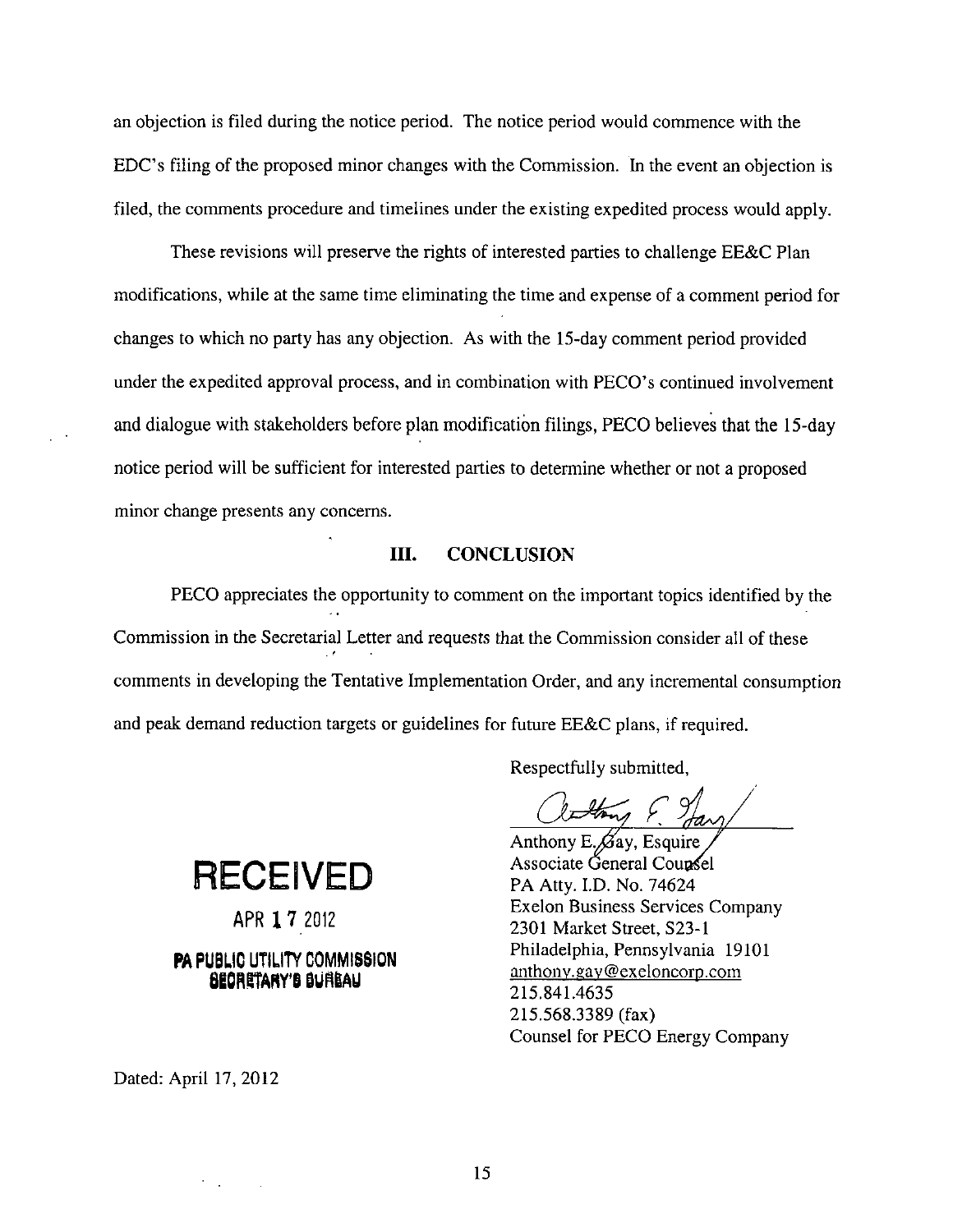an objection is filed during the notice period. The notice period would commence with the EDC's filing of the proposed minor changes with the Commission. In the event an objection is filed, the comments procedure and timelines under the existing expedited process would apply.

These revisions will preserve the rights of interested parties to challenge EE&C Plan modifications, while at the same time eliminating the time and expense of a comment period for changes to which no party has any objection. As with the 15-day comment period provided under the expedited approval process, and in combination with PECO's continued involvement and dialogue with stakeholders before plan modification filings, PECO believes that the 15-day notice period will be sufficient for interested parties to determine whether or not a proposed minor change presents any concerns.

## **III. CONCLUSION**

PECO appreciates the opportunity to comment on the important topics identified by the Commission in the Secretarial Letter and requests that the Commission consider all of these *. r*  comments in developing the Tentative Implementation Order, and any incremental consumption and peak demand reduction targets or guidelines for future EE&C plans, if required.

Anthony E. $\cancel{\beta}$ ay, Esquire Associate General Counsel PA Atty. LD. No. 74624 Exelon Business Services Company 2301 Market Street, S23-1 Philadelphia, Pennsylvania 19101 anthonv.gav@exeIoncorp.com 215.841.4635 215.568.3389 (fax) Counsel for PECO Energy Company

**f** 

Respectfully submitted.

**RECEIVED** 

APR 1 7 2012

# PA PUBLiC UTILITY COMMISSION BEORETARY'S BURGAU

Dated: April 17, 2012